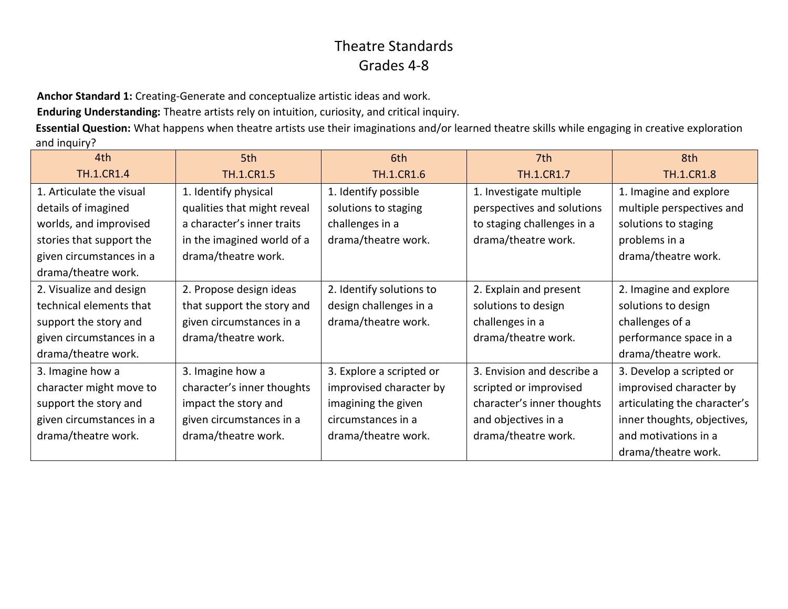**Anchor Standard 1:** Creating-Generate and conceptualize artistic ideas and work.

**Enduring Understanding:** Theatre artists rely on intuition, curiosity, and critical inquiry.

**Essential Question:** What happens when theatre artists use their imaginations and/or learned theatre skills while engaging in creative exploration and inquiry?

| 4th                      | 5th                         | 6th                      | 7th                        | 8th                          |
|--------------------------|-----------------------------|--------------------------|----------------------------|------------------------------|
| <b>TH.1.CR1.4</b>        | <b>TH.1.CR1.5</b>           | <b>TH.1.CR1.6</b>        | <b>TH.1.CR1.7</b>          | <b>TH.1.CR1.8</b>            |
| 1. Articulate the visual | 1. Identify physical        | 1. Identify possible     | 1. Investigate multiple    | 1. Imagine and explore       |
| details of imagined      | qualities that might reveal | solutions to staging     | perspectives and solutions | multiple perspectives and    |
| worlds, and improvised   | a character's inner traits  | challenges in a          | to staging challenges in a | solutions to staging         |
| stories that support the | in the imagined world of a  | drama/theatre work.      | drama/theatre work.        | problems in a                |
| given circumstances in a | drama/theatre work.         |                          |                            | drama/theatre work.          |
| drama/theatre work.      |                             |                          |                            |                              |
| 2. Visualize and design  | 2. Propose design ideas     | 2. Identify solutions to | 2. Explain and present     | 2. Imagine and explore       |
| technical elements that  | that support the story and  | design challenges in a   | solutions to design        | solutions to design          |
| support the story and    | given circumstances in a    | drama/theatre work.      | challenges in a            | challenges of a              |
| given circumstances in a | drama/theatre work.         |                          | drama/theatre work.        | performance space in a       |
| drama/theatre work.      |                             |                          |                            | drama/theatre work.          |
| 3. Imagine how a         | 3. Imagine how a            | 3. Explore a scripted or | 3. Envision and describe a | 3. Develop a scripted or     |
| character might move to  | character's inner thoughts  | improvised character by  | scripted or improvised     | improvised character by      |
| support the story and    | impact the story and        | imagining the given      | character's inner thoughts | articulating the character's |
| given circumstances in a | given circumstances in a    | circumstances in a       | and objectives in a        | inner thoughts, objectives,  |
| drama/theatre work.      | drama/theatre work.         | drama/theatre work.      | drama/theatre work.        | and motivations in a         |
|                          |                             |                          |                            | drama/theatre work.          |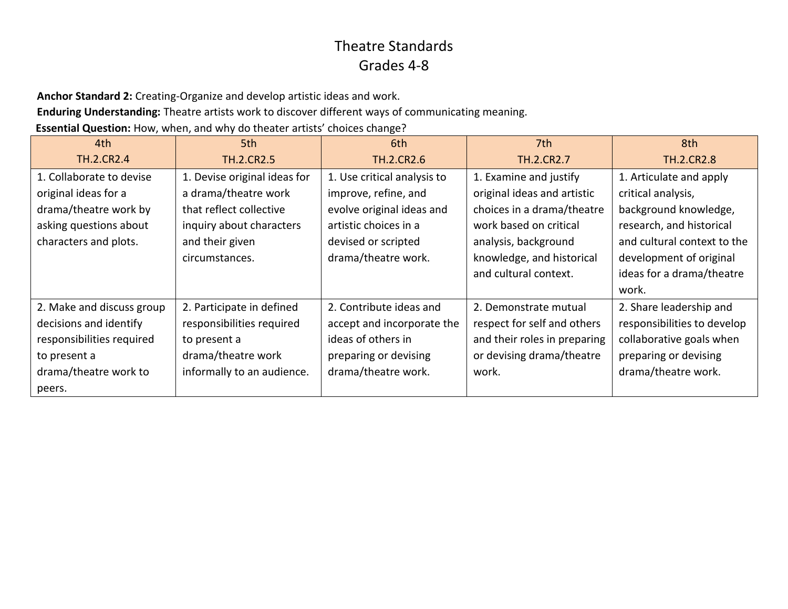**Anchor Standard 2:** Creating-Organize and develop artistic ideas and work.

**Enduring Understanding:** Theatre artists work to discover different ways of communicating meaning.

**Essential Question:** How, when, and why do theater artists' choices change?

| 4th                       | 5th                          | 6th                         | 7th                          | 8th                         |
|---------------------------|------------------------------|-----------------------------|------------------------------|-----------------------------|
| <b>TH.2.CR2.4</b>         | <b>TH.2.CR2.5</b>            | <b>TH.2.CR2.6</b>           | <b>TH.2.CR2.7</b>            | <b>TH.2.CR2.8</b>           |
| 1. Collaborate to devise  | 1. Devise original ideas for | 1. Use critical analysis to | 1. Examine and justify       | 1. Articulate and apply     |
| original ideas for a      | a drama/theatre work         | improve, refine, and        | original ideas and artistic  | critical analysis,          |
| drama/theatre work by     | that reflect collective      | evolve original ideas and   | choices in a drama/theatre   | background knowledge,       |
| asking questions about    | inquiry about characters     | artistic choices in a       | work based on critical       | research, and historical    |
| characters and plots.     | and their given              | devised or scripted         | analysis, background         | and cultural context to the |
|                           | circumstances.               | drama/theatre work.         | knowledge, and historical    | development of original     |
|                           |                              |                             | and cultural context.        | ideas for a drama/theatre   |
|                           |                              |                             |                              | work.                       |
| 2. Make and discuss group | 2. Participate in defined    | 2. Contribute ideas and     | 2. Demonstrate mutual        | 2. Share leadership and     |
| decisions and identify    | responsibilities required    | accept and incorporate the  | respect for self and others  | responsibilities to develop |
| responsibilities required | to present a                 | ideas of others in          | and their roles in preparing | collaborative goals when    |
| to present a              | drama/theatre work           | preparing or devising       | or devising drama/theatre    | preparing or devising       |
| drama/theatre work to     | informally to an audience.   | drama/theatre work.         | work.                        | drama/theatre work.         |
| peers.                    |                              |                             |                              |                             |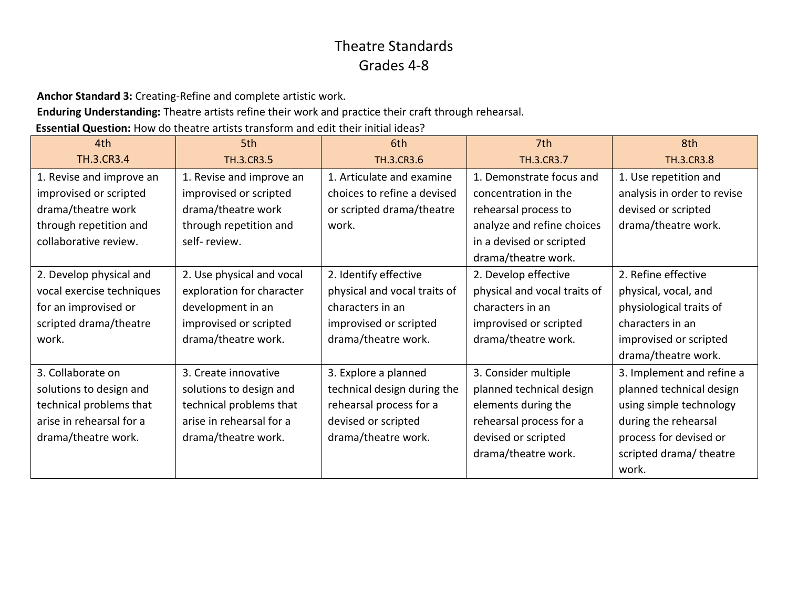**Anchor Standard 3:** Creating-Refine and complete artistic work.

**Enduring Understanding:** Theatre artists refine their work and practice their craft through rehearsal.

**Essential Question:** How do theatre artists transform and edit their initial ideas?

| 4th                       | 5th                       | 6th                          | 7th                          | 8th                         |
|---------------------------|---------------------------|------------------------------|------------------------------|-----------------------------|
| <b>TH.3.CR3.4</b>         | TH.3.CR3.5                | TH.3.CR3.6                   | <b>TH.3.CR3.7</b>            | TH.3.CR3.8                  |
| 1. Revise and improve an  | 1. Revise and improve an  | 1. Articulate and examine    | 1. Demonstrate focus and     | 1. Use repetition and       |
| improvised or scripted    | improvised or scripted    | choices to refine a devised  | concentration in the         | analysis in order to revise |
| drama/theatre work        | drama/theatre work        | or scripted drama/theatre    | rehearsal process to         | devised or scripted         |
| through repetition and    | through repetition and    | work.                        | analyze and refine choices   | drama/theatre work.         |
| collaborative review.     | self-review.              |                              | in a devised or scripted     |                             |
|                           |                           |                              | drama/theatre work.          |                             |
| 2. Develop physical and   | 2. Use physical and vocal | 2. Identify effective        | 2. Develop effective         | 2. Refine effective         |
| vocal exercise techniques | exploration for character | physical and vocal traits of | physical and vocal traits of | physical, vocal, and        |
| for an improvised or      | development in an         | characters in an             | characters in an             | physiological traits of     |
| scripted drama/theatre    | improvised or scripted    | improvised or scripted       | improvised or scripted       | characters in an            |
| work.                     | drama/theatre work.       | drama/theatre work.          | drama/theatre work.          | improvised or scripted      |
|                           |                           |                              |                              | drama/theatre work.         |
| 3. Collaborate on         | 3. Create innovative      | 3. Explore a planned         | 3. Consider multiple         | 3. Implement and refine a   |
| solutions to design and   | solutions to design and   | technical design during the  | planned technical design     | planned technical design    |
| technical problems that   | technical problems that   | rehearsal process for a      | elements during the          | using simple technology     |
| arise in rehearsal for a  | arise in rehearsal for a  | devised or scripted          | rehearsal process for a      | during the rehearsal        |
| drama/theatre work.       | drama/theatre work.       | drama/theatre work.          | devised or scripted          | process for devised or      |
|                           |                           |                              | drama/theatre work.          | scripted drama/ theatre     |
|                           |                           |                              |                              | work.                       |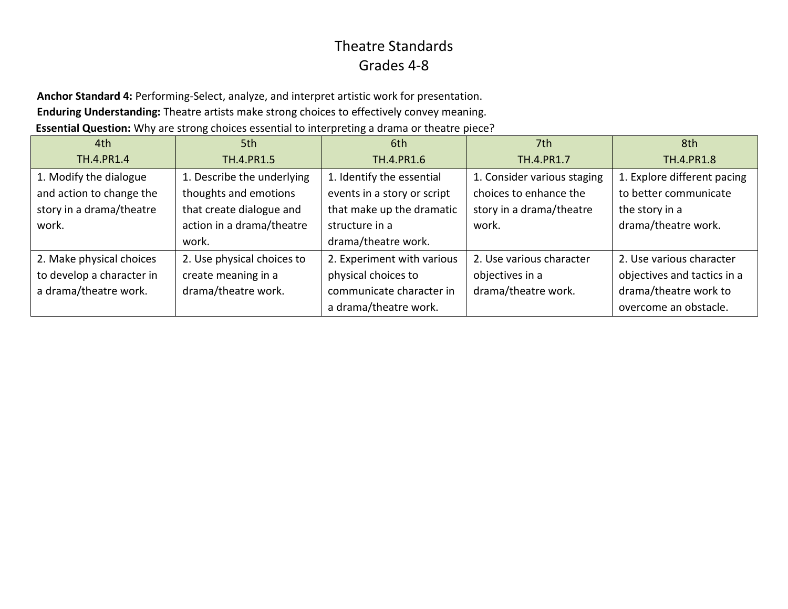**Anchor Standard 4:** Performing-Select, analyze, and interpret artistic work for presentation. **Enduring Understanding:** Theatre artists make strong choices to effectively convey meaning.

**Essential Question:** Why are strong choices essential to interpreting a drama or theatre piece?

| 4th                       | 5th                        | 6th                         | 7th                         | 8th                         |
|---------------------------|----------------------------|-----------------------------|-----------------------------|-----------------------------|
| <b>TH.4.PR1.4</b>         | TH.4.PR1.5                 | TH.4.PR1.6                  | TH.4.PR1.7                  | TH.4.PR1.8                  |
| 1. Modify the dialogue    | 1. Describe the underlying | 1. Identify the essential   | 1. Consider various staging | 1. Explore different pacing |
| and action to change the  | thoughts and emotions      | events in a story or script | choices to enhance the      | to better communicate       |
| story in a drama/theatre  | that create dialogue and   | that make up the dramatic   | story in a drama/theatre    | the story in a              |
| work.                     | action in a drama/theatre  | structure in a              | work.                       | drama/theatre work.         |
|                           | work.                      | drama/theatre work.         |                             |                             |
| 2. Make physical choices  | 2. Use physical choices to | 2. Experiment with various  | 2. Use various character    | 2. Use various character    |
| to develop a character in | create meaning in a        | physical choices to         | objectives in a             | objectives and tactics in a |
| a drama/theatre work.     | drama/theatre work.        | communicate character in    | drama/theatre work.         | drama/theatre work to       |
|                           |                            | a drama/theatre work.       |                             | overcome an obstacle.       |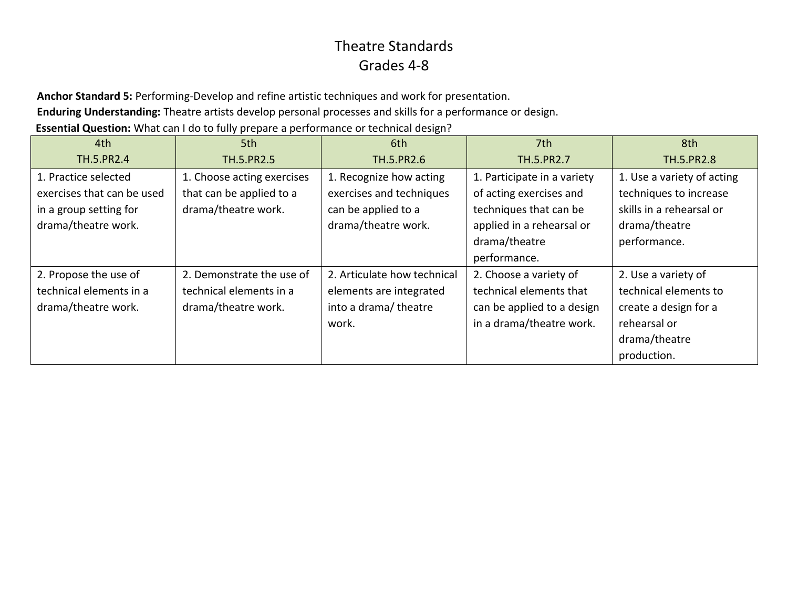**Anchor Standard 5:** Performing-Develop and refine artistic techniques and work for presentation.

**Enduring Understanding:** Theatre artists develop personal processes and skills for a performance or design.

**Essential Question:** What can I do to fully prepare a performance or technical design?

| 4th                        | 5th                        | 6th                         | 7th                         | 8th                        |
|----------------------------|----------------------------|-----------------------------|-----------------------------|----------------------------|
| TH.5.PR2.4                 | TH.5.PR2.5                 | TH.5.PR2.6                  | TH.5.PR2.7                  | TH.5.PR2.8                 |
| 1. Practice selected       | 1. Choose acting exercises | 1. Recognize how acting     | 1. Participate in a variety | 1. Use a variety of acting |
| exercises that can be used | that can be applied to a   | exercises and techniques    | of acting exercises and     | techniques to increase     |
| in a group setting for     | drama/theatre work.        | can be applied to a         | techniques that can be      | skills in a rehearsal or   |
| drama/theatre work.        |                            | drama/theatre work.         | applied in a rehearsal or   | drama/theatre              |
|                            |                            |                             | drama/theatre               | performance.               |
|                            |                            |                             | performance.                |                            |
| 2. Propose the use of      | 2. Demonstrate the use of  | 2. Articulate how technical | 2. Choose a variety of      | 2. Use a variety of        |
| technical elements in a    | technical elements in a    | elements are integrated     | technical elements that     | technical elements to      |
| drama/theatre work.        | drama/theatre work.        | into a drama/theatre        | can be applied to a design  | create a design for a      |
|                            |                            | work.                       | in a drama/theatre work.    | rehearsal or               |
|                            |                            |                             |                             | drama/theatre              |
|                            |                            |                             |                             | production.                |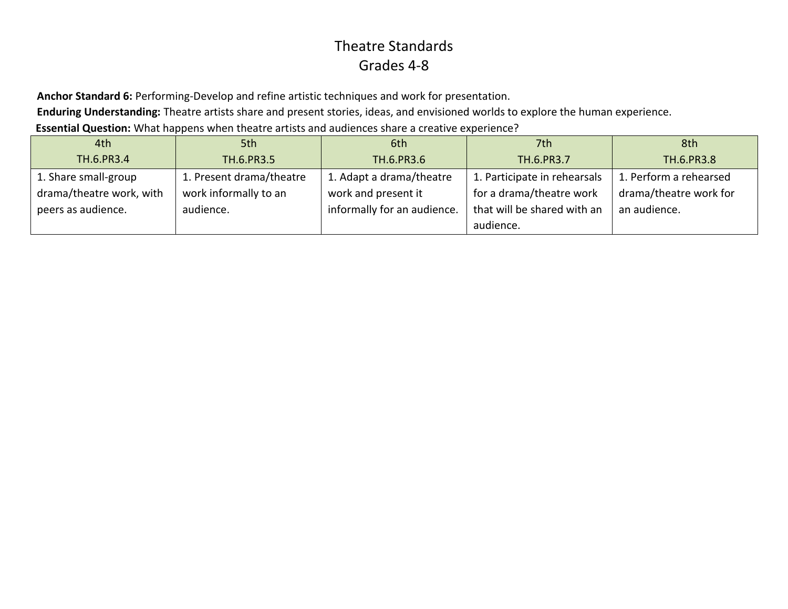**Anchor Standard 6:** Performing-Develop and refine artistic techniques and work for presentation.

**Enduring Understanding:** Theatre artists share and present stories, ideas, and envisioned worlds to explore the human experience.

**Essential Question:** What happens when theatre artists and audiences share a creative experience?

| 4th                      | 5th                      | 6th                         | 7th                          | 8th                    |
|--------------------------|--------------------------|-----------------------------|------------------------------|------------------------|
| TH.6.PR3.4               | TH.6.PR3.5               | TH.6.PR3.6                  | TH.6.PR3.7                   | TH.6.PR3.8             |
| 1. Share small-group     | 1. Present drama/theatre | 1. Adapt a drama/theatre    | 1. Participate in rehearsals | 1. Perform a rehearsed |
| drama/theatre work, with | work informally to an    | work and present it         | for a drama/theatre work     | drama/theatre work for |
| peers as audience.       | audience.                | informally for an audience. | that will be shared with an  | an audience.           |
|                          |                          |                             | audience.                    |                        |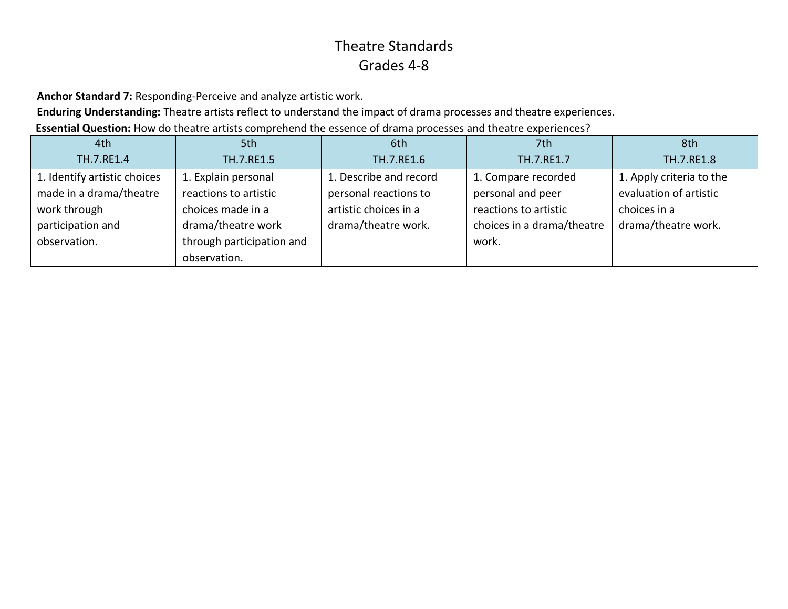**Anchor Standard 7:** Responding-Perceive and analyze artistic work.

**Enduring Understanding:** Theatre artists reflect to understand the impact of drama processes and theatre experiences.

**Essential Question:** How do theatre artists comprehend the essence of drama processes and theatre experiences?

| 4th                          | 5th                       | 6th                    | 7th                        | 8th                      |
|------------------------------|---------------------------|------------------------|----------------------------|--------------------------|
| TH.7.RE1.4                   | TH.7.RE1.5                | TH.7.RE1.6             | TH.7.RE1.7                 | TH.7.RE1.8               |
| 1. Identify artistic choices | 1. Explain personal       | 1. Describe and record | 1. Compare recorded        | 1. Apply criteria to the |
| made in a drama/theatre      | reactions to artistic     | personal reactions to  | personal and peer          | evaluation of artistic   |
| work through                 | choices made in a         | artistic choices in a  | reactions to artistic      | choices in a             |
| participation and            | drama/theatre work        | drama/theatre work.    | choices in a drama/theatre | drama/theatre work.      |
| observation.                 | through participation and |                        | work.                      |                          |
|                              | observation.              |                        |                            |                          |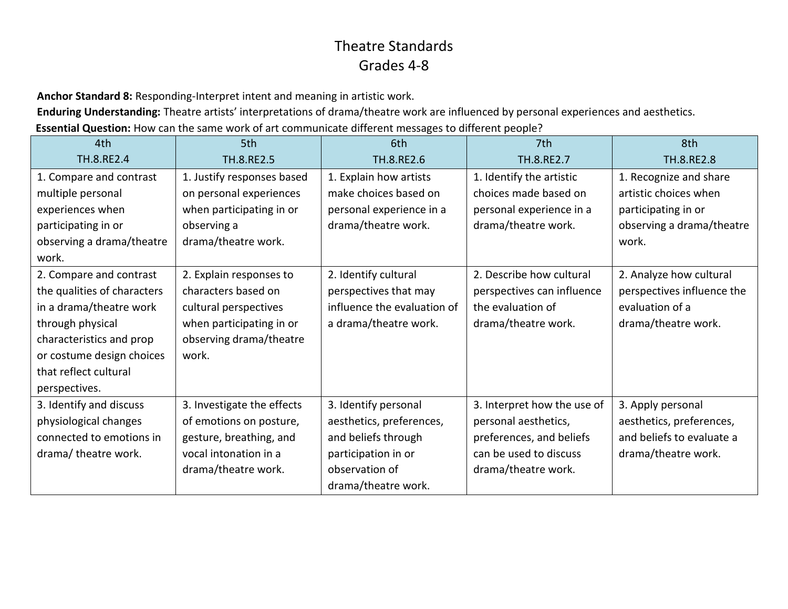**Anchor Standard 8:** Responding-Interpret intent and meaning in artistic work.

**Enduring Understanding:** Theatre artists' interpretations of drama/theatre work are influenced by personal experiences and aesthetics.

**Essential Question:** How can the same work of art communicate different messages to different people?

| 4th                         | 5th                        | 6th                         | 7th                         | 8th                        |
|-----------------------------|----------------------------|-----------------------------|-----------------------------|----------------------------|
| TH.8.RE2.4                  | TH.8.RE2.5                 | TH.8.RE2.6                  | TH.8.RE2.7                  | TH.8.RE2.8                 |
| 1. Compare and contrast     | 1. Justify responses based | 1. Explain how artists      | 1. Identify the artistic    | 1. Recognize and share     |
| multiple personal           | on personal experiences    | make choices based on       | choices made based on       | artistic choices when      |
| experiences when            | when participating in or   | personal experience in a    | personal experience in a    | participating in or        |
| participating in or         | observing a                | drama/theatre work.         | drama/theatre work.         | observing a drama/theatre  |
| observing a drama/theatre   | drama/theatre work.        |                             |                             | work.                      |
| work.                       |                            |                             |                             |                            |
| 2. Compare and contrast     | 2. Explain responses to    | 2. Identify cultural        | 2. Describe how cultural    | 2. Analyze how cultural    |
| the qualities of characters | characters based on        | perspectives that may       | perspectives can influence  | perspectives influence the |
| in a drama/theatre work     | cultural perspectives      | influence the evaluation of | the evaluation of           | evaluation of a            |
| through physical            | when participating in or   | a drama/theatre work.       | drama/theatre work.         | drama/theatre work.        |
| characteristics and prop    | observing drama/theatre    |                             |                             |                            |
| or costume design choices   | work.                      |                             |                             |                            |
| that reflect cultural       |                            |                             |                             |                            |
| perspectives.               |                            |                             |                             |                            |
| 3. Identify and discuss     | 3. Investigate the effects | 3. Identify personal        | 3. Interpret how the use of | 3. Apply personal          |
| physiological changes       | of emotions on posture,    | aesthetics, preferences,    | personal aesthetics,        | aesthetics, preferences,   |
| connected to emotions in    | gesture, breathing, and    | and beliefs through         | preferences, and beliefs    | and beliefs to evaluate a  |
| drama/ theatre work.        | vocal intonation in a      | participation in or         | can be used to discuss      | drama/theatre work.        |
|                             | drama/theatre work.        | observation of              | drama/theatre work.         |                            |
|                             |                            | drama/theatre work.         |                             |                            |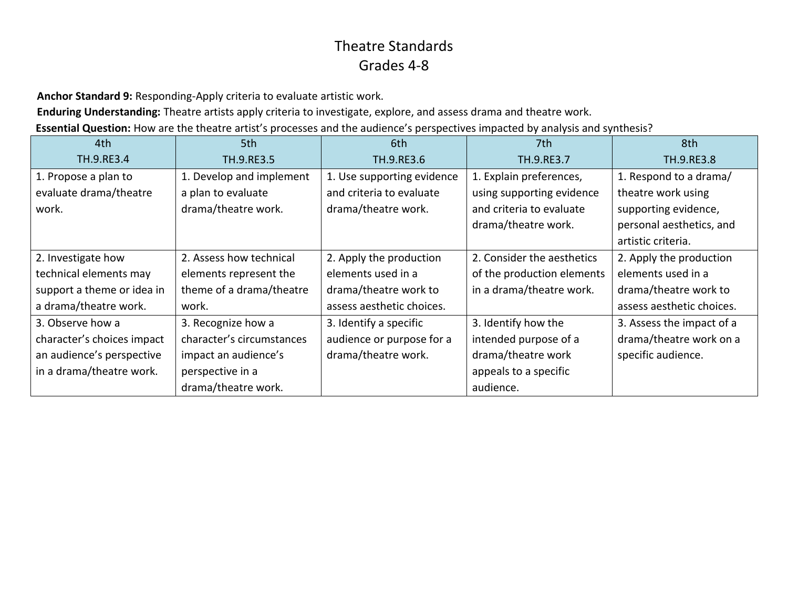**Anchor Standard 9:** Responding-Apply criteria to evaluate artistic work.

**Enduring Understanding:** Theatre artists apply criteria to investigate, explore, and assess drama and theatre work.

**Essential Question:** How are the theatre artist's processes and the audience's perspectives impacted by analysis and synthesis?

| 4th                        | 5th                       | 6th                        | 7th                        | 8th                       |
|----------------------------|---------------------------|----------------------------|----------------------------|---------------------------|
| TH.9.RE3.4                 | TH.9.RE3.5                | TH.9.RE3.6                 | TH.9.RE3.7                 | TH.9.RE3.8                |
| 1. Propose a plan to       | 1. Develop and implement  | 1. Use supporting evidence | 1. Explain preferences,    | 1. Respond to a drama/    |
| evaluate drama/theatre     | a plan to evaluate        | and criteria to evaluate   | using supporting evidence  | theatre work using        |
| work.                      | drama/theatre work.       | drama/theatre work.        | and criteria to evaluate   | supporting evidence,      |
|                            |                           |                            | drama/theatre work.        | personal aesthetics, and  |
|                            |                           |                            |                            | artistic criteria.        |
| 2. Investigate how         | 2. Assess how technical   | 2. Apply the production    | 2. Consider the aesthetics | 2. Apply the production   |
| technical elements may     | elements represent the    | elements used in a         | of the production elements | elements used in a        |
| support a theme or idea in | theme of a drama/theatre  | drama/theatre work to      | in a drama/theatre work.   | drama/theatre work to     |
| a drama/theatre work.      | work.                     | assess aesthetic choices.  |                            | assess aesthetic choices. |
| 3. Observe how a           | 3. Recognize how a        | 3. Identify a specific     | 3. Identify how the        | 3. Assess the impact of a |
| character's choices impact | character's circumstances | audience or purpose for a  | intended purpose of a      | drama/theatre work on a   |
| an audience's perspective  | impact an audience's      | drama/theatre work.        | drama/theatre work         | specific audience.        |
| in a drama/theatre work.   | perspective in a          |                            | appeals to a specific      |                           |
|                            | drama/theatre work.       |                            | audience.                  |                           |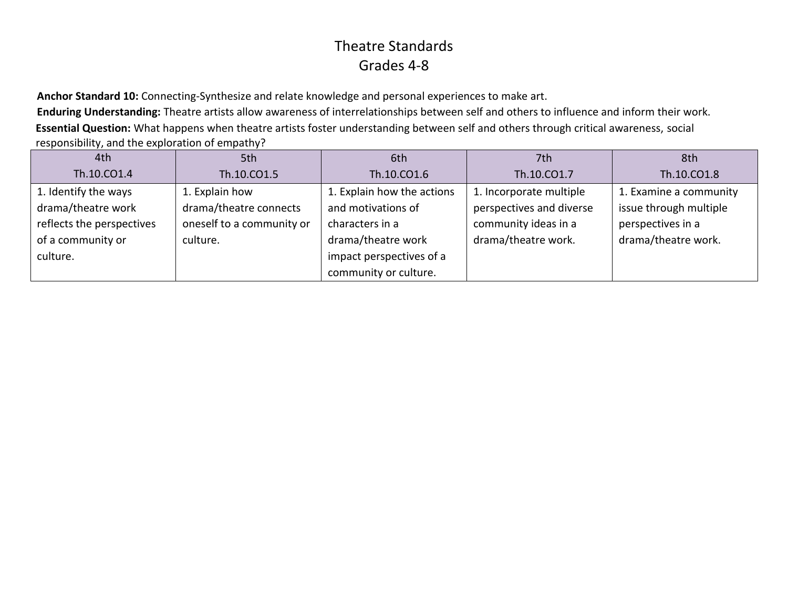**Anchor Standard 10:** Connecting-Synthesize and relate knowledge and personal experiences to make art.

**Enduring Understanding:** Theatre artists allow awareness of interrelationships between self and others to influence and inform their work. **Essential Question:** What happens when theatre artists foster understanding between self and others through critical awareness, social responsibility, and the exploration of empathy?

| 4th                       | 5th                       | 6th                        | 7th                      | 8th                    |
|---------------------------|---------------------------|----------------------------|--------------------------|------------------------|
| Th.10.CO1.4               | Th.10.CO1.5               | Th.10.CO1.6                | Th.10.CO1.7              | Th.10.CO1.8            |
| 1. Identify the ways      | 1. Explain how            | 1. Explain how the actions | 1. Incorporate multiple  | 1. Examine a community |
| drama/theatre work        | drama/theatre connects    | and motivations of         | perspectives and diverse | issue through multiple |
| reflects the perspectives | oneself to a community or | characters in a            | community ideas in a     | perspectives in a      |
| of a community or         | culture.                  | drama/theatre work         | drama/theatre work.      | drama/theatre work.    |
| culture.                  |                           | impact perspectives of a   |                          |                        |
|                           |                           | community or culture.      |                          |                        |